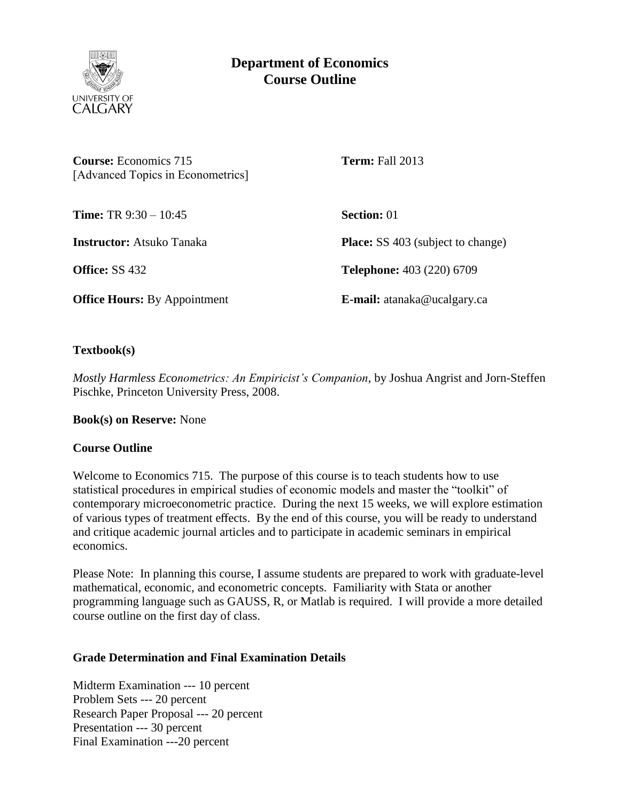

# **Department of Economics Course Outline**

| <b>Course:</b> Economics 715<br>[Advanced Topics in Econometrics] | <b>Term:</b> Fall 2013                   |
|-------------------------------------------------------------------|------------------------------------------|
| <b>Time:</b> TR $9:30 - 10:45$                                    | <b>Section:</b> 01                       |
| <b>Instructor:</b> Atsuko Tanaka                                  | <b>Place:</b> SS 403 (subject to change) |
| <b>Office: SS 432</b>                                             | <b>Telephone:</b> 403 (220) 6709         |
| <b>Office Hours:</b> By Appointment                               | E-mail: atanaka@ucalgary.ca              |

**Textbook(s)**

*Mostly Harmless Econometrics: An Empiricist's Companion*, by Joshua Angrist and Jorn-Steffen Pischke, Princeton University Press, 2008.

**Book(s) on Reserve:** None

### **Course Outline**

Welcome to Economics 715. The purpose of this course is to teach students how to use statistical procedures in empirical studies of economic models and master the "toolkit" of contemporary microeconometric practice. During the next 15 weeks, we will explore estimation of various types of treatment effects. By the end of this course, you will be ready to understand and critique academic journal articles and to participate in academic seminars in empirical economics.

Please Note: In planning this course, I assume students are prepared to work with graduate-level mathematical, economic, and econometric concepts. Familiarity with Stata or another programming language such as GAUSS, R, or Matlab is required. I will provide a more detailed course outline on the first day of class.

### **Grade Determination and Final Examination Details**

Midterm Examination --- 10 percent Problem Sets --- 20 percent Research Paper Proposal --- 20 percent Presentation --- 30 percent Final Examination ---20 percent